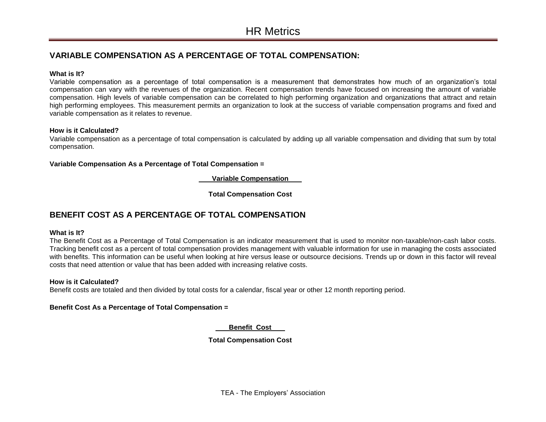# **VARIABLE COMPENSATION AS A PERCENTAGE OF TOTAL COMPENSATION:**

## **What is It?**

Variable compensation as a percentage of total compensation is a measurement that demonstrates how much of an organization's total compensation can vary with the revenues of the organization. Recent compensation trends have focused on increasing the amount of variable compensation. High levels of variable compensation can be correlated to high performing organization and organizations that attract and retain high performing employees. This measurement permits an organization to look at the success of variable compensation programs and fixed and variable compensation as it relates to revenue.

## **How is it Calculated?**

Variable compensation as a percentage of total compensation is calculated by adding up all variable compensation and dividing that sum by total compensation.

**Variable Compensation As a Percentage of Total Compensation =**

 **Variable Compensation** 

**Total Compensation Cost**

# **BENEFIT COST AS A PERCENTAGE OF TOTAL COMPENSATION**

#### **What is It?**

The Benefit Cost as a Percentage of Total Compensation is an indicator measurement that is used to monitor non-taxable/non-cash labor costs. Tracking benefit cost as a percent of total compensation provides management with valuable information for use in managing the costs associated with benefits. This information can be useful when looking at hire versus lease or outsource decisions. Trends up or down in this factor will reveal costs that need attention or value that has been added with increasing relative costs.

# **How is it Calculated?**

Benefit costs are totaled and then divided by total costs for a calendar, fiscal year or other 12 month reporting period.

# **Benefit Cost As a Percentage of Total Compensation =**

 **Benefit Cost** 

# **Total Compensation Cost**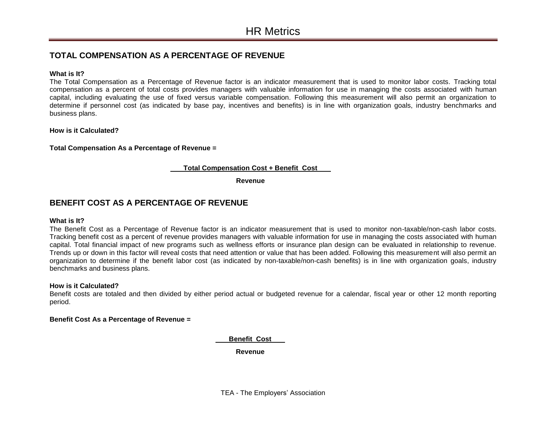# **TOTAL COMPENSATION AS A PERCENTAGE OF REVENUE**

#### **What is It?**

The Total Compensation as a Percentage of Revenue factor is an indicator measurement that is used to monitor labor costs. Tracking total compensation as a percent of total costs provides managers with valuable information for use in managing the costs associated with human capital, including evaluating the use of fixed versus variable compensation. Following this measurement will also permit an organization to determine if personnel cost (as indicated by base pay, incentives and benefits) is in line with organization goals, industry benchmarks and business plans.

## **How is it Calculated?**

#### **Total Compensation As a Percentage of Revenue =**

## **Total Compensation Cost + Benefit Cost**

**Revenue**

# **BENEFIT COST AS A PERCENTAGE OF REVENUE**

#### **What is It?**

The Benefit Cost as a Percentage of Revenue factor is an indicator measurement that is used to monitor non-taxable/non-cash labor costs. Tracking benefit cost as a percent of revenue provides managers with valuable information for use in managing the costs associated with human capital. Total financial impact of new programs such as wellness efforts or insurance plan design can be evaluated in relationship to revenue. Trends up or down in this factor will reveal costs that need attention or value that has been added. Following this measurement will also permit an organization to determine if the benefit labor cost (as indicated by non-taxable/non-cash benefits) is in line with organization goals, industry benchmarks and business plans.

#### **How is it Calculated?**

Benefit costs are totaled and then divided by either period actual or budgeted revenue for a calendar, fiscal year or other 12 month reporting period.

#### **Benefit Cost As a Percentage of Revenue =**

 **Benefit Cost** 

**Revenue**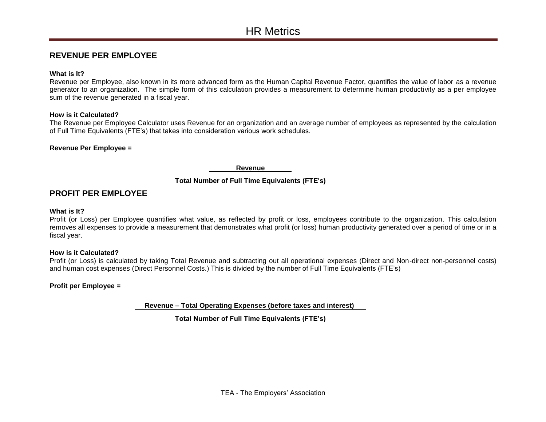# **REVENUE PER EMPLOYEE**

#### **What is It?**

Revenue per Employee, also known in its more advanced form as the Human Capital Revenue Factor, quantifies the value of labor as a revenue generator to an organization. The simple form of this calculation provides a measurement to determine human productivity as a per employee sum of the revenue generated in a fiscal year.

## **How is it Calculated?**

The Revenue per Employee Calculator uses Revenue for an organization and an average number of employees as represented by the calculation of Full Time Equivalents (FTE's) that takes into consideration various work schedules.

## **Revenue Per Employee =**

 **Revenue** 

# **Total Number of Full Time Equivalents (FTE's)**

# **PROFIT PER EMPLOYEE**

#### **What is It?**

Profit (or Loss) per Employee quantifies what value, as reflected by profit or loss, employees contribute to the organization. This calculation removes all expenses to provide a measurement that demonstrates what profit (or loss) human productivity generated over a period of time or in a fiscal year.

#### **How is it Calculated?**

Profit (or Loss) is calculated by taking Total Revenue and subtracting out all operational expenses (Direct and Non-direct non-personnel costs) and human cost expenses (Direct Personnel Costs.) This is divided by the number of Full Time Equivalents (FTE's)

# **Profit per Employee =**

 **Revenue – Total Operating Expenses (before taxes and interest)** 

**Total Number of Full Time Equivalents (FTE's)**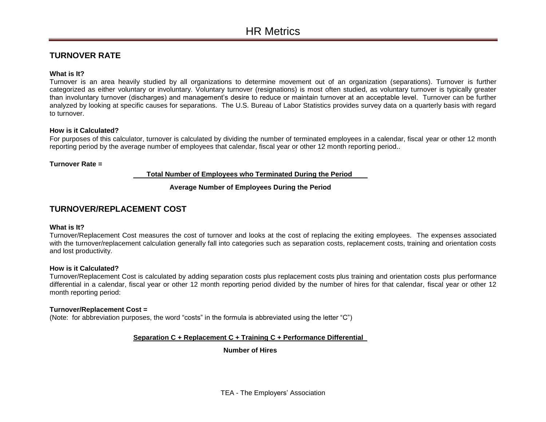# **TURNOVER RATE**

## **What is It?**

Turnover is an area heavily studied by all organizations to determine movement out of an organization (separations). Turnover is further categorized as either voluntary or involuntary. Voluntary turnover (resignations) is most often studied, as voluntary turnover is typically greater than involuntary turnover (discharges) and management's desire to reduce or maintain turnover at an acceptable level. Turnover can be further analyzed by looking at specific causes for separations. The U.S. Bureau of Labor Statistics provides survey data on a quarterly basis with regard to turnover.

## **How is it Calculated?**

For purposes of this calculator, turnover is calculated by dividing the number of terminated employees in a calendar, fiscal year or other 12 month reporting period by the average number of employees that calendar, fiscal year or other 12 month reporting period..

#### **Turnover Rate =**

#### **Total Number of Employees who Terminated During the Period**

# **Average Number of Employees During the Period**

# **TURNOVER/REPLACEMENT COST**

#### **What is It?**

Turnover/Replacement Cost measures the cost of turnover and looks at the cost of replacing the exiting employees. The expenses associated with the turnover/replacement calculation generally fall into categories such as separation costs, replacement costs, training and orientation costs and lost productivity.

#### **How is it Calculated?**

Turnover/Replacement Cost is calculated by adding separation costs plus replacement costs plus training and orientation costs plus performance differential in a calendar, fiscal year or other 12 month reporting period divided by the number of hires for that calendar, fiscal year or other 12 month reporting period:

#### **Turnover/Replacement Cost =**

(Note: for abbreviation purposes, the word "costs" in the formula is abbreviated using the letter "C")

# **Separation C + Replacement C + Training C + Performance Differential**

**Number of Hires**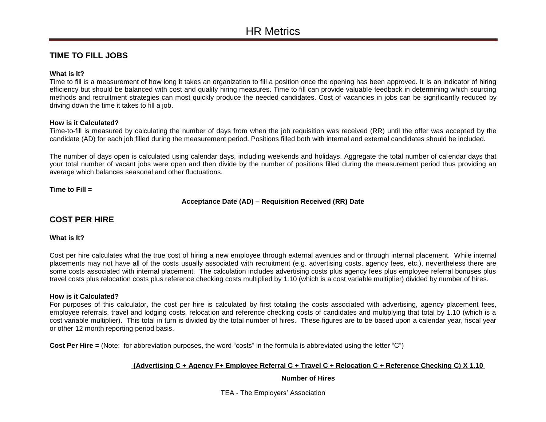# **TIME TO FILL JOBS**

## **What is It?**

Time to fill is a measurement of how long it takes an organization to fill a position once the opening has been approved. It is an indicator of hiring efficiency but should be balanced with cost and quality hiring measures. Time to fill can provide valuable feedback in determining which sourcing methods and recruitment strategies can most quickly produce the needed candidates. Cost of vacancies in jobs can be significantly reduced by driving down the time it takes to fill a job.

## **How is it Calculated?**

Time-to-fill is measured by calculating the number of days from when the job requisition was received (RR) until the offer was accepted by the candidate (AD) for each job filled during the measurement period. Positions filled both with internal and external candidates should be included.

The number of days open is calculated using calendar days, including weekends and holidays. Aggregate the total number of calendar days that your total number of vacant jobs were open and then divide by the number of positions filled during the measurement period thus providing an average which balances seasonal and other fluctuations.

**Time to Fill =**

**Acceptance Date (AD) – Requisition Received (RR) Date** 

# **COST PER HIRE**

#### **What is It?**

Cost per hire calculates what the true cost of hiring a new employee through external avenues and or through internal placement. While internal placements may not have all of the costs usually associated with recruitment (e.g. advertising costs, agency fees, etc.), nevertheless there are some costs associated with internal placement. The calculation includes advertising costs plus agency fees plus employee referral bonuses plus travel costs plus relocation costs plus reference checking costs multiplied by 1.10 (which is a cost variable multiplier) divided by number of hires.

#### **How is it Calculated?**

For purposes of this calculator, the cost per hire is calculated by first totaling the costs associated with advertising, agency placement fees, employee referrals, travel and lodging costs, relocation and reference checking costs of candidates and multiplying that total by 1.10 (which is a cost variable multiplier). This total in turn is divided by the total number of hires. These figures are to be based upon a calendar year, fiscal year or other 12 month reporting period basis.

**Cost Per Hire =** (Note: for abbreviation purposes, the word "costs" in the formula is abbreviated using the letter "C")

# **(Advertising C + Agency F+ Employee Referral C + Travel C + Relocation C + Reference Checking C) X 1.10**

#### **Number of Hires**

TEA - The Employers' Association